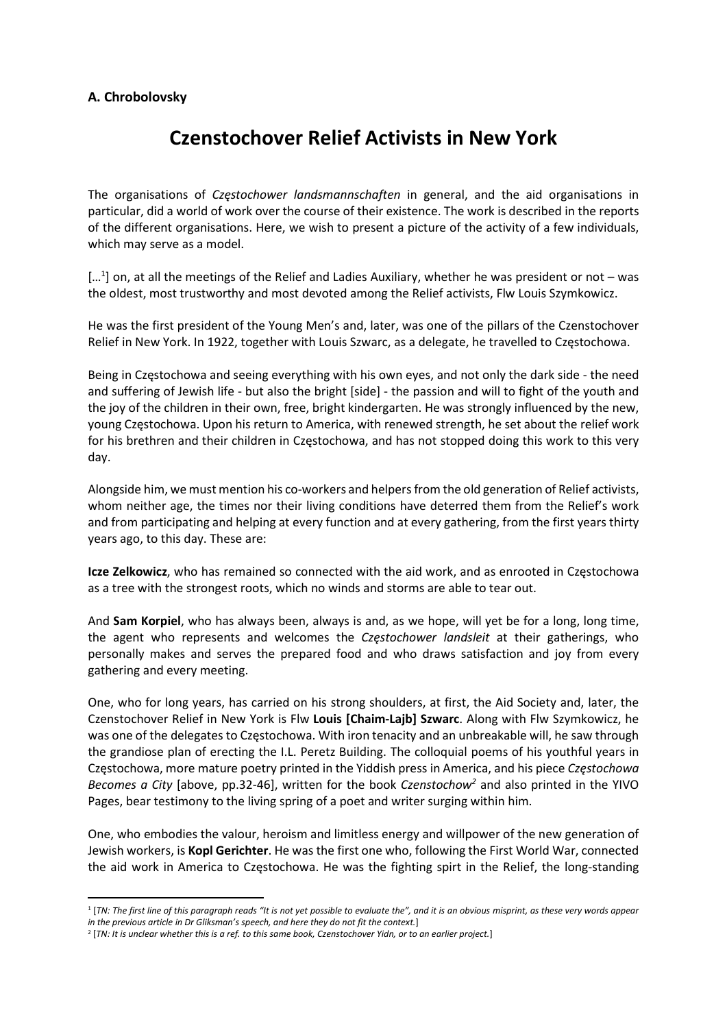## A. Chrobolovsky

## Czenstochover Relief Activists in New York

The organisations of *Czestochower landsmannschaften* in general, and the aid organisations in particular, did a world of work over the course of their existence. The work is described in the reports of the different organisations. Here, we wish to present a picture of the activity of a few individuals, which may serve as a model.

[...<sup>1</sup>] on, at all the meetings of the Relief and Ladies Auxiliary, whether he was president or not – was the oldest, most trustworthy and most devoted among the Relief activists, Flw Louis Szymkowicz.

He was the first president of the Young Men's and, later, was one of the pillars of the Czenstochover Relief in New York. In 1922, together with Louis Szwarc, as a delegate, he travelled to Częstochowa.

Being in Częstochowa and seeing everything with his own eyes, and not only the dark side - the need and suffering of Jewish life - but also the bright [side] - the passion and will to fight of the youth and the joy of the children in their own, free, bright kindergarten. He was strongly influenced by the new, young Częstochowa. Upon his return to America, with renewed strength, he set about the relief work for his brethren and their children in Częstochowa, and has not stopped doing this work to this very day.

Alongside him, we must mention his co-workers and helpers from the old generation of Relief activists, whom neither age, the times nor their living conditions have deterred them from the Relief's work and from participating and helping at every function and at every gathering, from the first years thirty years ago, to this day. These are:

Icze Zelkowicz, who has remained so connected with the aid work, and as enrooted in Częstochowa as a tree with the strongest roots, which no winds and storms are able to tear out.

And Sam Korpiel, who has always been, always is and, as we hope, will yet be for a long, long time, the agent who represents and welcomes the Częstochower landsleit at their gatherings, who personally makes and serves the prepared food and who draws satisfaction and joy from every gathering and every meeting.

One, who for long years, has carried on his strong shoulders, at first, the Aid Society and, later, the Czenstochover Relief in New York is Flw Louis [Chaim-Lajb] Szwarc. Along with Flw Szymkowicz, he was one of the delegates to Częstochowa. With iron tenacity and an unbreakable will, he saw through the grandiose plan of erecting the I.L. Peretz Building. The colloquial poems of his youthful years in Częstochowa, more mature poetry printed in the Yiddish press in America, and his piece Częstochowa Becomes a City [above, pp.32-46], written for the book Czenstochow<sup>2</sup> and also printed in the YIVO Pages, bear testimony to the living spring of a poet and writer surging within him.

One, who embodies the valour, heroism and limitless energy and willpower of the new generation of Jewish workers, is Kopl Gerichter. He was the first one who, following the First World War, connected the aid work in America to Częstochowa. He was the fighting spirt in the Relief, the long-standing

<sup>1</sup> [TN: The first line of this paragraph reads "It is not yet possible to evaluate the", and it is an obvious misprint, as these very words appear in the previous article in Dr Gliksman's speech, and here they do not fit the context.]

<sup>&</sup>lt;sup>2</sup> [TN: It is unclear whether this is a ref. to this same book, Czenstochover Yidn, or to an earlier project.]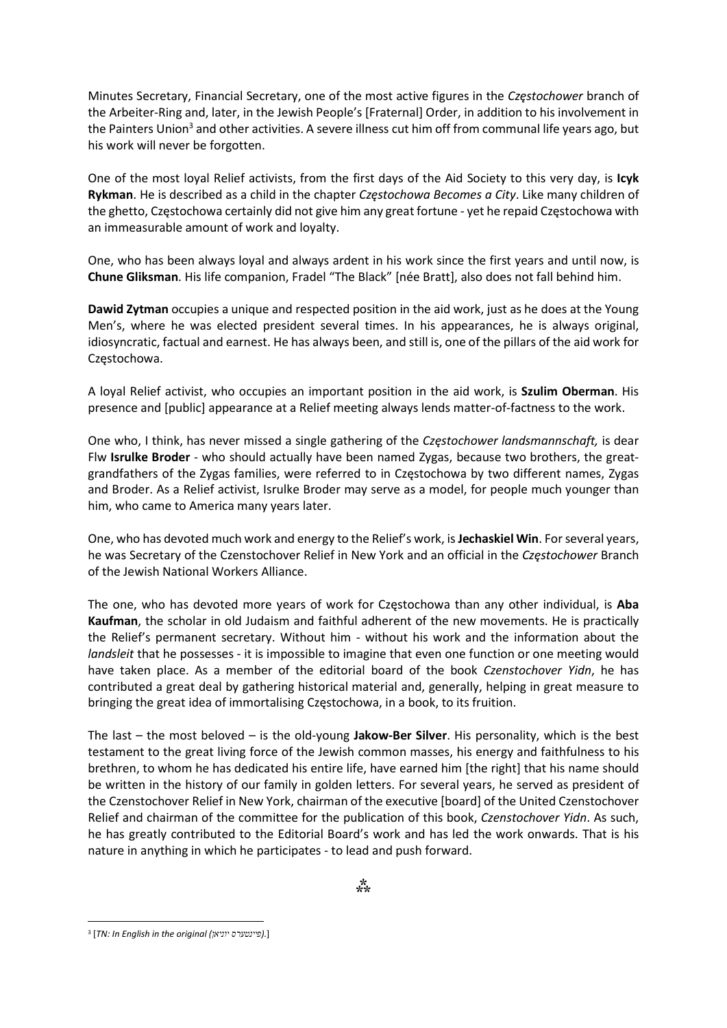Minutes Secretary, Financial Secretary, one of the most active figures in the Częstochower branch of the Arbeiter-Ring and, later, in the Jewish People's [Fraternal] Order, in addition to his involvement in the Painters Union<sup>3</sup> and other activities. A severe illness cut him off from communal life years ago, but his work will never be forgotten.

One of the most loyal Relief activists, from the first days of the Aid Society to this very day, is Icyk Rykman. He is described as a child in the chapter Czestochowa Becomes a City. Like many children of the ghetto, Częstochowa certainly did not give him any great fortune - yet he repaid Częstochowa with an immeasurable amount of work and loyalty.

One, who has been always loyal and always ardent in his work since the first years and until now, is Chune Gliksman. His life companion, Fradel "The Black" [née Bratt], also does not fall behind him.

Dawid Zytman occupies a unique and respected position in the aid work, just as he does at the Young Men's, where he was elected president several times. In his appearances, he is always original, idiosyncratic, factual and earnest. He has always been, and still is, one of the pillars of the aid work for Częstochowa.

A loyal Relief activist, who occupies an important position in the aid work, is Szulim Oberman. His presence and [public] appearance at a Relief meeting always lends matter-of-factness to the work.

One who, I think, has never missed a single gathering of the Częstochower landsmannschaft, is dear Flw Isrulke Broder - who should actually have been named Zygas, because two brothers, the greatgrandfathers of the Zygas families, were referred to in Częstochowa by two different names, Zygas and Broder. As a Relief activist, Isrulke Broder may serve as a model, for people much younger than him, who came to America many years later.

One, who has devoted much work and energy to the Relief's work, is Jechaskiel Win. For several years, he was Secretary of the Czenstochover Relief in New York and an official in the Czestochower Branch of the Jewish National Workers Alliance.

The one, who has devoted more years of work for Częstochowa than any other individual, is **Aba** Kaufman, the scholar in old Judaism and faithful adherent of the new movements. He is practically the Relief's permanent secretary. Without him - without his work and the information about the landsleit that he possesses - it is impossible to imagine that even one function or one meeting would have taken place. As a member of the editorial board of the book Czenstochover Yidn, he has contributed a great deal by gathering historical material and, generally, helping in great measure to bringing the great idea of immortalising Częstochowa, in a book, to its fruition.

The last – the most beloved – is the old-young **Jakow-Ber Silver**. His personality, which is the best testament to the great living force of the Jewish common masses, his energy and faithfulness to his brethren, to whom he has dedicated his entire life, have earned him [the right] that his name should be written in the history of our family in golden letters. For several years, he served as president of the Czenstochover Relief in New York, chairman of the executive [board] of the United Czenstochover Relief and chairman of the committee for the publication of this book, Czenstochover Yidn. As such, he has greatly contributed to the Editorial Board's work and has led the work onwards. That is his nature in anything in which he participates - to lead and push forward.

<sup>&</sup>lt;sup>3</sup> [TN: In English in the original (פיינטערס יוניאן).]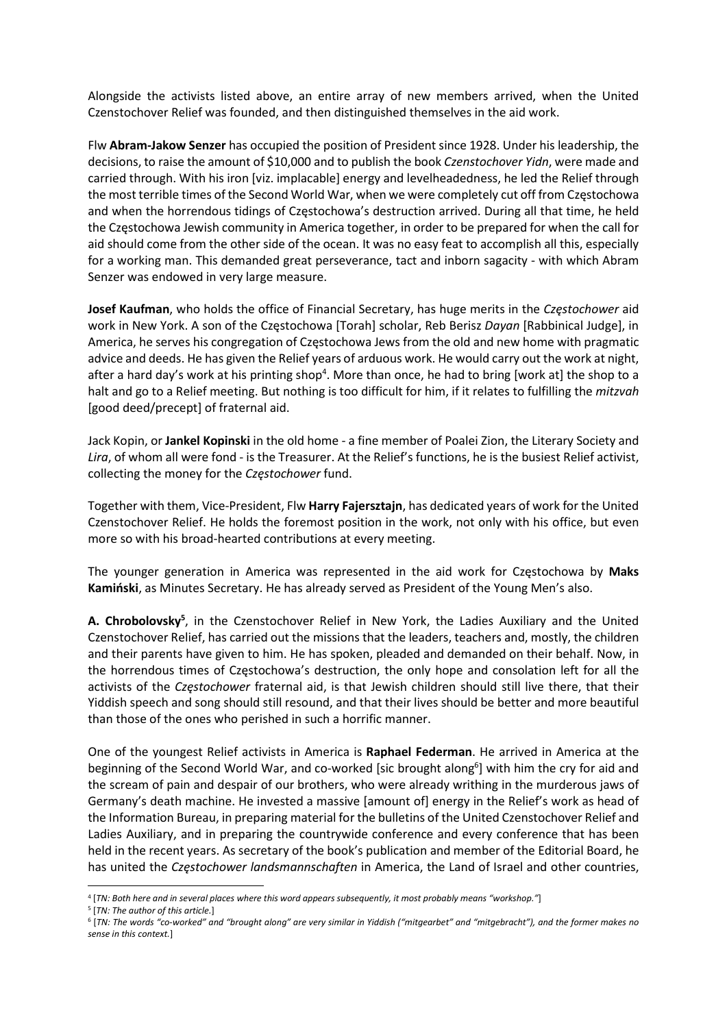Alongside the activists listed above, an entire array of new members arrived, when the United Czenstochover Relief was founded, and then distinguished themselves in the aid work.

Flw Abram-Jakow Senzer has occupied the position of President since 1928. Under his leadership, the decisions, to raise the amount of \$10,000 and to publish the book Czenstochover Yidn, were made and carried through. With his iron [viz. implacable] energy and levelheadedness, he led the Relief through the most terrible times of the Second World War, when we were completely cut off from Częstochowa and when the horrendous tidings of Częstochowa's destruction arrived. During all that time, he held the Częstochowa Jewish community in America together, in order to be prepared for when the call for aid should come from the other side of the ocean. It was no easy feat to accomplish all this, especially for a working man. This demanded great perseverance, tact and inborn sagacity - with which Abram Senzer was endowed in very large measure.

Josef Kaufman, who holds the office of Financial Secretary, has huge merits in the Częstochower aid work in New York. A son of the Częstochowa [Torah] scholar, Reb Berisz Dayan [Rabbinical Judge], in America, he serves his congregation of Częstochowa Jews from the old and new home with pragmatic advice and deeds. He has given the Relief years of arduous work. He would carry out the work at night, after a hard day's work at his printing shop<sup>4</sup>. More than once, he had to bring [work at] the shop to a halt and go to a Relief meeting. But nothing is too difficult for him, if it relates to fulfilling the mitzvah [good deed/precept] of fraternal aid.

Jack Kopin, or Jankel Kopinski in the old home - a fine member of Poalei Zion, the Literary Society and Lira, of whom all were fond - is the Treasurer. At the Relief's functions, he is the busiest Relief activist, collecting the money for the Częstochower fund.

Together with them, Vice-President, Flw Harry Fajersztajn, has dedicated years of work for the United Czenstochover Relief. He holds the foremost position in the work, not only with his office, but even more so with his broad-hearted contributions at every meeting.

The younger generation in America was represented in the aid work for Częstochowa by Maks Kamiński, as Minutes Secretary. He has already served as President of the Young Men's also.

A. Chrobolovsky<sup>5</sup>, in the Czenstochover Relief in New York, the Ladies Auxiliary and the United Czenstochover Relief, has carried out the missions that the leaders, teachers and, mostly, the children and their parents have given to him. He has spoken, pleaded and demanded on their behalf. Now, in the horrendous times of Częstochowa's destruction, the only hope and consolation left for all the activists of the Częstochower fraternal aid, is that Jewish children should still live there, that their Yiddish speech and song should still resound, and that their lives should be better and more beautiful than those of the ones who perished in such a horrific manner.

One of the youngest Relief activists in America is Raphael Federman. He arrived in America at the beginning of the Second World War, and co-worked [sic brought along<sup>6</sup>] with him the cry for aid and the scream of pain and despair of our brothers, who were already writhing in the murderous jaws of Germany's death machine. He invested a massive [amount of] energy in the Relief's work as head of the Information Bureau, in preparing material for the bulletins of the United Czenstochover Relief and Ladies Auxiliary, and in preparing the countrywide conference and every conference that has been held in the recent years. As secretary of the book's publication and member of the Editorial Board, he has united the Częstochower landsmannschaften in America, the Land of Israel and other countries,

<sup>4</sup> [TN: Both here and in several places where this word appears subsequently, it most probably means "workshop."]

<sup>&</sup>lt;sup>5</sup> [TN: The author of this article.]

<sup>6</sup> [TN: The words "co-worked" and "brought along" are very similar in Yiddish ("mitgearbet" and "mitgebracht"), and the former makes no sense in this context.]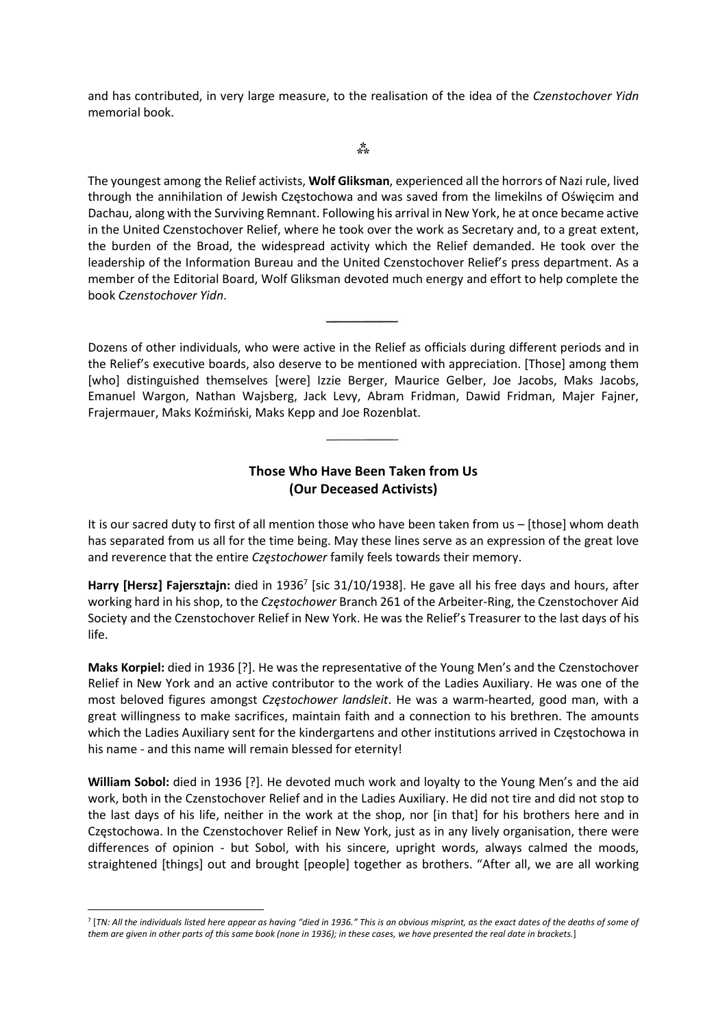and has contributed, in very large measure, to the realisation of the idea of the Czenstochover Yidn memorial book.

 $*^*$ 

The youngest among the Relief activists, Wolf Gliksman, experienced all the horrors of Nazi rule, lived through the annihilation of Jewish Częstochowa and was saved from the limekilns of Oświęcim and Dachau, along with the Surviving Remnant. Following his arrival in New York, he at once became active in the United Czenstochover Relief, where he took over the work as Secretary and, to a great extent, the burden of the Broad, the widespread activity which the Relief demanded. He took over the leadership of the Information Bureau and the United Czenstochover Relief's press department. As a member of the Editorial Board, Wolf Gliksman devoted much energy and effort to help complete the book Czenstochover Yidn.

Dozens of other individuals, who were active in the Relief as officials during different periods and in the Relief's executive boards, also deserve to be mentioned with appreciation. [Those] among them [who] distinguished themselves [were] Izzie Berger, Maurice Gelber, Joe Jacobs, Maks Jacobs, Emanuel Wargon, Nathan Wajsberg, Jack Levy, Abram Fridman, Dawid Fridman, Majer Fajner, Frajermauer, Maks Koźmiński, Maks Kepp and Joe Rozenblat.

## Those Who Have Been Taken from Us (Our Deceased Activists)

It is our sacred duty to first of all mention those who have been taken from us – [those] whom death has separated from us all for the time being. May these lines serve as an expression of the great love and reverence that the entire *Częstochower* family feels towards their memory.

Harry [Hersz] Fajersztajn: died in 1936<sup>7</sup> [sic 31/10/1938]. He gave all his free days and hours, after working hard in his shop, to the Częstochower Branch 261 of the Arbeiter-Ring, the Czenstochover Aid Society and the Czenstochover Relief in New York. He was the Relief's Treasurer to the last days of his life.

Maks Korpiel: died in 1936 [?]. He was the representative of the Young Men's and the Czenstochover Relief in New York and an active contributor to the work of the Ladies Auxiliary. He was one of the most beloved figures amongst Częstochower landsleit. He was a warm-hearted, good man, with a great willingness to make sacrifices, maintain faith and a connection to his brethren. The amounts which the Ladies Auxiliary sent for the kindergartens and other institutions arrived in Częstochowa in his name - and this name will remain blessed for eternity!

William Sobol: died in 1936 [?]. He devoted much work and loyalty to the Young Men's and the aid work, both in the Czenstochover Relief and in the Ladies Auxiliary. He did not tire and did not stop to the last days of his life, neither in the work at the shop, nor [in that] for his brothers here and in Częstochowa. In the Czenstochover Relief in New York, just as in any lively organisation, there were differences of opinion - but Sobol, with his sincere, upright words, always calmed the moods, straightened [things] out and brought [people] together as brothers. "After all, we are all working

<sup>7</sup> [TN: All the individuals listed here appear as having "died in 1936." This is an obvious misprint, as the exact dates of the deaths of some of them are given in other parts of this same book (none in 1936); in these cases, we have presented the real date in brackets.]